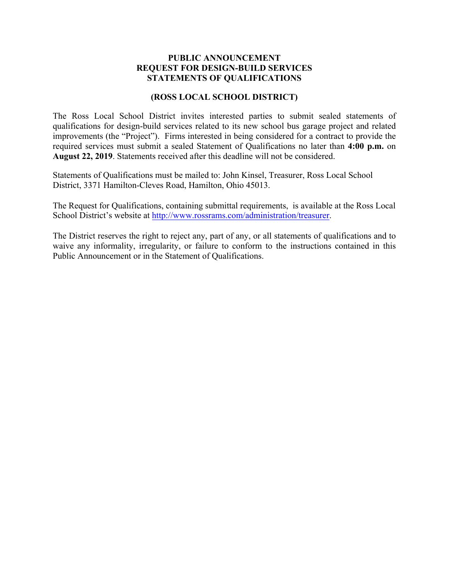# **PUBLIC ANNOUNCEMENT REQUEST FOR DESIGN-BUILD SERVICES STATEMENTS OF QUALIFICATIONS**

## **(ROSS LOCAL SCHOOL DISTRICT)**

The Ross Local School District invites interested parties to submit sealed statements of qualifications for design-build services related to its new school bus garage project and related improvements (the "Project"). Firms interested in being considered for a contract to provide the required services must submit a sealed Statement of Qualifications no later than **4:00 p.m.** on **August 22, 2019**. Statements received after this deadline will not be considered.

Statements of Qualifications must be mailed to: John Kinsel, Treasurer, Ross Local School District, 3371 Hamilton-Cleves Road, Hamilton, Ohio 45013.

The Request for Qualifications, containing submittal requirements, is available at the Ross Local School District's website at http://www.rossrams.com/administration/treasurer.

The District reserves the right to reject any, part of any, or all statements of qualifications and to waive any informality, irregularity, or failure to conform to the instructions contained in this Public Announcement or in the Statement of Qualifications.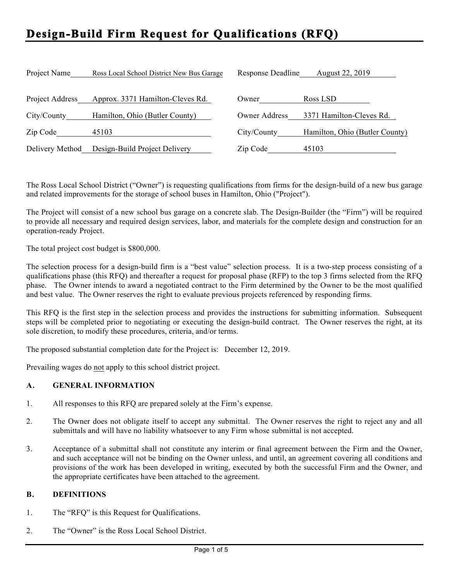# **Design-Build Firm Request for Qualifications (RFQ)**

| Project Name    | Ross Local School District New Bus Garage | Response Deadline | August 22, 2019                |
|-----------------|-------------------------------------------|-------------------|--------------------------------|
| Project Address | Approx. 3371 Hamilton-Cleves Rd.          | Owner             | Ross LSD                       |
| City/County     | Hamilton, Ohio (Butler County)            | Owner Address     | 3371 Hamilton-Cleves Rd.       |
| Zip Code        | 45103                                     | City/County       | Hamilton, Ohio (Butler County) |
| Delivery Method | Design-Build Project Delivery             | Zip Code          | 45103                          |

The Ross Local School District ("Owner") is requesting qualifications from firms for the design-build of a new bus garage and related improvements for the storage of school buses in Hamilton, Ohio ("Project").

The Project will consist of a new school bus garage on a concrete slab. The Design-Builder (the "Firm") will be required to provide all necessary and required design services, labor, and materials for the complete design and construction for an operation-ready Project.

The total project cost budget is \$800,000.

The selection process for a design-build firm is a "best value" selection process. It is a two-step process consisting of a qualifications phase (this RFQ) and thereafter a request for proposal phase (RFP) to the top 3 firms selected from the RFQ phase. The Owner intends to award a negotiated contract to the Firm determined by the Owner to be the most qualified and best value. The Owner reserves the right to evaluate previous projects referenced by responding firms.

This RFQ is the first step in the selection process and provides the instructions for submitting information. Subsequent steps will be completed prior to negotiating or executing the design-build contract. The Owner reserves the right, at its sole discretion, to modify these procedures, criteria, and/or terms.

The proposed substantial completion date for the Project is: December 12, 2019.

Prevailing wages do not apply to this school district project.

#### **A. GENERAL INFORMATION**

- 1. All responses to this RFQ are prepared solely at the Firm's expense.
- 2. The Owner does not obligate itself to accept any submittal. The Owner reserves the right to reject any and all submittals and will have no liability whatsoever to any Firm whose submittal is not accepted.
- 3. Acceptance of a submittal shall not constitute any interim or final agreement between the Firm and the Owner, and such acceptance will not be binding on the Owner unless, and until, an agreement covering all conditions and provisions of the work has been developed in writing, executed by both the successful Firm and the Owner, and the appropriate certificates have been attached to the agreement.

#### **B. DEFINITIONS**

- 1. The "RFQ" is this Request for Qualifications.
- 2. The "Owner" is the Ross Local School District.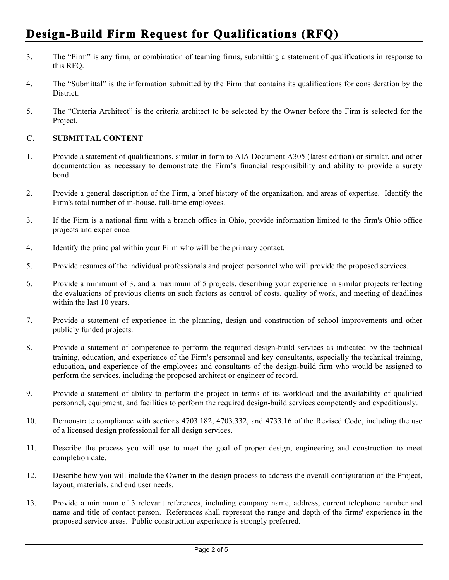# **Design-Build Firm Request for Qualifications (RFQ)**

- 3. The "Firm" is any firm, or combination of teaming firms, submitting a statement of qualifications in response to this RFQ.
- 4. The "Submittal" is the information submitted by the Firm that contains its qualifications for consideration by the District.
- 5. The "Criteria Architect" is the criteria architect to be selected by the Owner before the Firm is selected for the Project.

## **C. SUBMITTAL CONTENT**

- 1. Provide a statement of qualifications, similar in form to AIA Document A305 (latest edition) or similar, and other documentation as necessary to demonstrate the Firm's financial responsibility and ability to provide a surety bond.
- 2. Provide a general description of the Firm, a brief history of the organization, and areas of expertise. Identify the Firm's total number of in-house, full-time employees.
- 3. If the Firm is a national firm with a branch office in Ohio, provide information limited to the firm's Ohio office projects and experience.
- 4. Identify the principal within your Firm who will be the primary contact.
- 5. Provide resumes of the individual professionals and project personnel who will provide the proposed services.
- 6. Provide a minimum of 3, and a maximum of 5 projects, describing your experience in similar projects reflecting the evaluations of previous clients on such factors as control of costs, quality of work, and meeting of deadlines within the last 10 years.
- 7. Provide a statement of experience in the planning, design and construction of school improvements and other publicly funded projects.
- 8. Provide a statement of competence to perform the required design-build services as indicated by the technical training, education, and experience of the Firm's personnel and key consultants, especially the technical training, education, and experience of the employees and consultants of the design-build firm who would be assigned to perform the services, including the proposed architect or engineer of record.
- 9. Provide a statement of ability to perform the project in terms of its workload and the availability of qualified personnel, equipment, and facilities to perform the required design-build services competently and expeditiously.
- 10. Demonstrate compliance with sections 4703.182, 4703.332, and 4733.16 of the Revised Code, including the use of a licensed design professional for all design services.
- 11. Describe the process you will use to meet the goal of proper design, engineering and construction to meet completion date.
- 12. Describe how you will include the Owner in the design process to address the overall configuration of the Project, layout, materials, and end user needs.
- 13. Provide a minimum of 3 relevant references, including company name, address, current telephone number and name and title of contact person. References shall represent the range and depth of the firms' experience in the proposed service areas. Public construction experience is strongly preferred.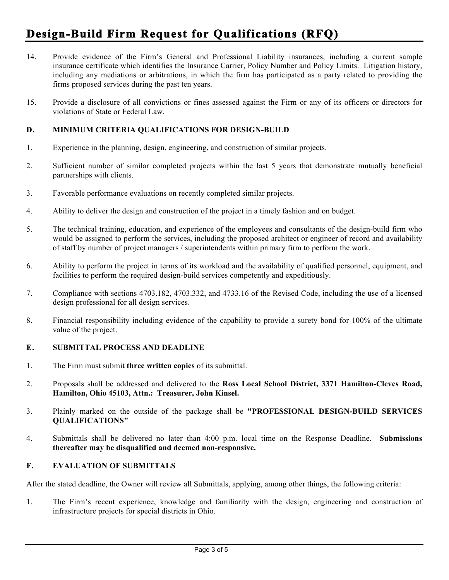# **Design-Build Firm Request for Qualifications (RFQ)**

- 14. Provide evidence of the Firm's General and Professional Liability insurances, including a current sample insurance certificate which identifies the Insurance Carrier, Policy Number and Policy Limits. Litigation history, including any mediations or arbitrations, in which the firm has participated as a party related to providing the firms proposed services during the past ten years.
- 15. Provide a disclosure of all convictions or fines assessed against the Firm or any of its officers or directors for violations of State or Federal Law.

## **D. MINIMUM CRITERIA QUALIFICATIONS FOR DESIGN-BUILD**

- 1. Experience in the planning, design, engineering, and construction of similar projects.
- 2. Sufficient number of similar completed projects within the last 5 years that demonstrate mutually beneficial partnerships with clients.
- 3. Favorable performance evaluations on recently completed similar projects.
- 4. Ability to deliver the design and construction of the project in a timely fashion and on budget.
- 5. The technical training, education, and experience of the employees and consultants of the design-build firm who would be assigned to perform the services, including the proposed architect or engineer of record and availability of staff by number of project managers / superintendents within primary firm to perform the work.
- 6. Ability to perform the project in terms of its workload and the availability of qualified personnel, equipment, and facilities to perform the required design-build services competently and expeditiously.
- 7. Compliance with sections 4703.182, 4703.332, and 4733.16 of the Revised Code, including the use of a licensed design professional for all design services.
- 8. Financial responsibility including evidence of the capability to provide a surety bond for 100% of the ultimate value of the project.

#### **E. SUBMITTAL PROCESS AND DEADLINE**

- 1. The Firm must submit **three written copies** of its submittal.
- 2. Proposals shall be addressed and delivered to the **Ross Local School District, 3371 Hamilton-Cleves Road, Hamilton, Ohio 45103, Attn.: Treasurer, John Kinsel.**
- 3. Plainly marked on the outside of the package shall be **"PROFESSIONAL DESIGN-BUILD SERVICES QUALIFICATIONS"**
- 4. Submittals shall be delivered no later than 4:00 p.m. local time on the Response Deadline. **Submissions thereafter may be disqualified and deemed non-responsive.**

#### **F. EVALUATION OF SUBMITTALS**

After the stated deadline, the Owner will review all Submittals, applying, among other things, the following criteria:

1. The Firm's recent experience, knowledge and familiarity with the design, engineering and construction of infrastructure projects for special districts in Ohio.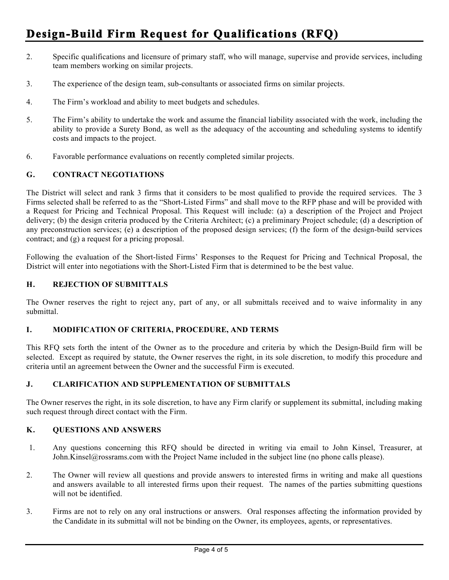- 2. Specific qualifications and licensure of primary staff, who will manage, supervise and provide services, including team members working on similar projects.
- 3. The experience of the design team, sub-consultants or associated firms on similar projects.
- 4. The Firm's workload and ability to meet budgets and schedules.
- 5. The Firm's ability to undertake the work and assume the financial liability associated with the work, including the ability to provide a Surety Bond, as well as the adequacy of the accounting and scheduling systems to identify costs and impacts to the project.
- 6. Favorable performance evaluations on recently completed similar projects.

## **G. CONTRACT NEGOTIATIONS**

The District will select and rank 3 firms that it considers to be most qualified to provide the required services. The 3 Firms selected shall be referred to as the "Short-Listed Firms" and shall move to the RFP phase and will be provided with a Request for Pricing and Technical Proposal. This Request will include: (a) a description of the Project and Project delivery; (b) the design criteria produced by the Criteria Architect; (c) a preliminary Project schedule; (d) a description of any preconstruction services; (e) a description of the proposed design services; (f) the form of the design-build services contract; and (g) a request for a pricing proposal.

Following the evaluation of the Short-listed Firms' Responses to the Request for Pricing and Technical Proposal, the District will enter into negotiations with the Short-Listed Firm that is determined to be the best value.

## **H. REJECTION OF SUBMITTALS**

The Owner reserves the right to reject any, part of any, or all submittals received and to waive informality in any submittal.

#### **I. MODIFICATION OF CRITERIA, PROCEDURE, AND TERMS**

This RFQ sets forth the intent of the Owner as to the procedure and criteria by which the Design-Build firm will be selected. Except as required by statute, the Owner reserves the right, in its sole discretion, to modify this procedure and criteria until an agreement between the Owner and the successful Firm is executed.

# **J. CLARIFICATION AND SUPPLEMENTATION OF SUBMITTALS**

The Owner reserves the right, in its sole discretion, to have any Firm clarify or supplement its submittal, including making such request through direct contact with the Firm.

## **K. QUESTIONS AND ANSWERS**

- 1. Any questions concerning this RFQ should be directed in writing via email to John Kinsel, Treasurer, at John.Kinsel@rossrams.com with the Project Name included in the subject line (no phone calls please).
- 2. The Owner will review all questions and provide answers to interested firms in writing and make all questions and answers available to all interested firms upon their request. The names of the parties submitting questions will not be identified.
- 3. Firms are not to rely on any oral instructions or answers. Oral responses affecting the information provided by the Candidate in its submittal will not be binding on the Owner, its employees, agents, or representatives.